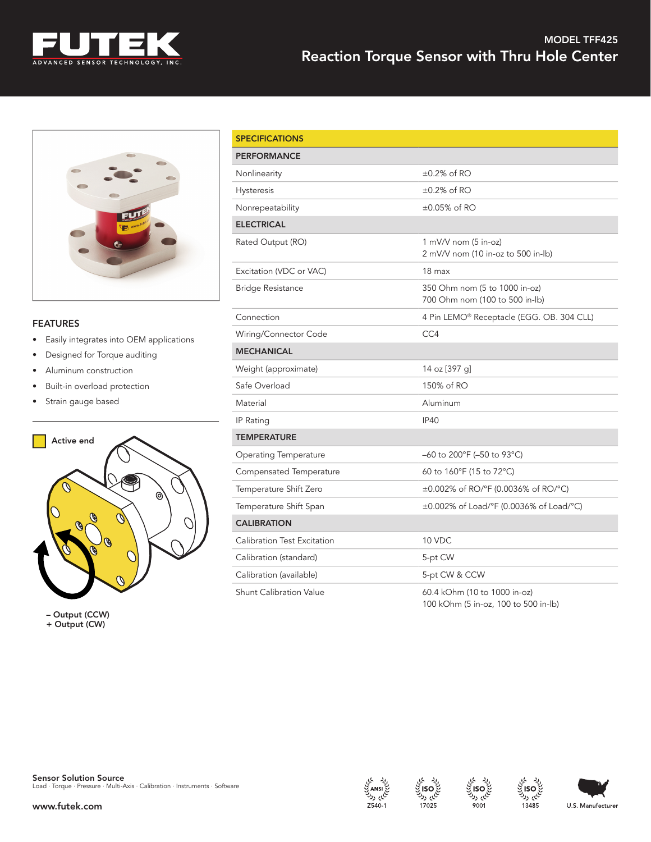



## FEATURES

- Easily integrates into OEM applications
- Designed for Torque auditing
- Aluminum construction
- Built-in overload protection
- Strain gauge based



– Output (CCW) + Output (CW)

| <b>SPECIFICATIONS</b>              |                                                                      |  |  |  |
|------------------------------------|----------------------------------------------------------------------|--|--|--|
| <b>PERFORMANCE</b>                 |                                                                      |  |  |  |
| Nonlinearity                       | $\pm 0.2\%$ of RO                                                    |  |  |  |
| <b>Hysteresis</b>                  | $\pm 0.2\%$ of RO                                                    |  |  |  |
| Nonrepeatability                   | $\pm 0.05\%$ of RO                                                   |  |  |  |
| <b>ELECTRICAL</b>                  |                                                                      |  |  |  |
| Rated Output (RO)                  | $1 \text{ mV/V}$ nom (5 in-oz)<br>2 mV/V nom (10 in-oz to 500 in-lb) |  |  |  |
| Excitation (VDC or VAC)            | 18 max                                                               |  |  |  |
| <b>Bridge Resistance</b>           | 350 Ohm nom (5 to 1000 in-oz)<br>700 Ohm nom (100 to 500 in-lb)      |  |  |  |
| Connection                         | 4 Pin LEMO® Receptacle (EGG. OB. 304 CLL)                            |  |  |  |
| Wiring/Connector Code              | CC4                                                                  |  |  |  |
| <b>MECHANICAL</b>                  |                                                                      |  |  |  |
| Weight (approximate)               | 14 oz [397 g]                                                        |  |  |  |
| Safe Overload                      | 150% of RO                                                           |  |  |  |
| Material                           | Aluminum                                                             |  |  |  |
| IP Rating                          | <b>IP40</b>                                                          |  |  |  |
| <b>TEMPERATURE</b>                 |                                                                      |  |  |  |
| <b>Operating Temperature</b>       | –60 to 200°F (–50 to 93°C)                                           |  |  |  |
| Compensated Temperature            | 60 to 160°F (15 to 72°C)                                             |  |  |  |
| Temperature Shift Zero             | ±0.002% of RO/°F (0.0036% of RO/°C)                                  |  |  |  |
| Temperature Shift Span             | ±0.002% of Load/°F (0.0036% of Load/°C)                              |  |  |  |
| <b>CALIBRATION</b>                 |                                                                      |  |  |  |
| <b>Calibration Test Excitation</b> | 10 VDC                                                               |  |  |  |
| Calibration (standard)             | 5-pt CW                                                              |  |  |  |
| Calibration (available)            | 5-pt CW & CCW                                                        |  |  |  |
| <b>Shunt Calibration Value</b>     | 60.4 kOhm (10 to 1000 in-oz)<br>100 kOhm (5 in-oz, 100 to 500 in-lb) |  |  |  |









ايم رك

13485